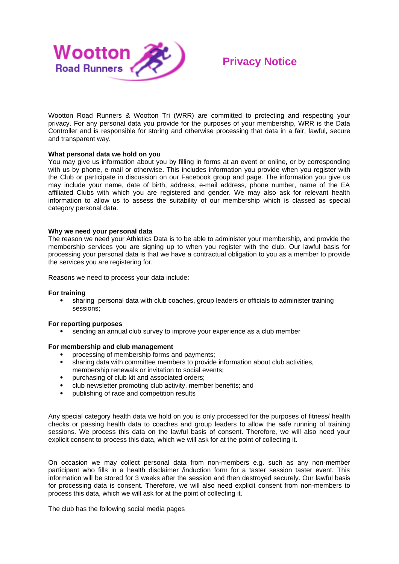

## **Privacy Notice**

Wootton Road Runners & Wootton Tri (WRR) are committed to protecting and respecting your privacy. For any personal data you provide for the purposes of your membership, WRR is the Data Controller and is responsible for storing and otherwise processing that data in a fair, lawful, secure and transparent way.

## **What personal data we hold on you**

You may give us information about you by filling in forms at an event or online, or by corresponding with us by phone, e-mail or otherwise. This includes information you provide when you register with the Club or participate in discussion on our Facebook group and page. The information you give us may include your name, date of birth, address, e-mail address, phone number, name of the EA affiliated Clubs with which you are registered and gender. We may also ask for relevant health information to allow us to assess the suitability of our membership which is classed as special category personal data.

## **Why we need your personal data**

The reason we need your Athletics Data is to be able to administer your membership, and provide the membership services you are signing up to when you register with the club. Our lawful basis for processing your personal data is that we have a contractual obligation to you as a member to provide the services you are registering for.

Reasons we need to process your data include:

## **For training**

 sharing personal data with club coaches, group leaders or officials to administer training sessions;

## **For reporting purposes**

sending an annual club survey to improve your experience as a club member

## **For membership and club management**

- processing of membership forms and payments;
- sharing data with committee members to provide information about club activities, membership renewals or invitation to social events;
- purchasing of club kit and associated orders;
- club newsletter promoting club activity, member benefits; and
- publishing of race and competition results

Any special category health data we hold on you is only processed for the purposes of fitness/ health checks or passing health data to coaches and group leaders to allow the safe running of training sessions. We process this data on the lawful basis of consent. Therefore, we will also need your explicit consent to process this data, which we will ask for at the point of collecting it.

On occasion we may collect personal data from non-members e.g. such as any non-member participant who fills in a health disclaimer /induction form for a taster session taster event. This information will be stored for 3 weeks after the session and then destroyed securely. Our lawful basis for processing data is consent. Therefore, we will also need explicit consent from non-members to process this data, which we will ask for at the point of collecting it.

The club has the following social media pages